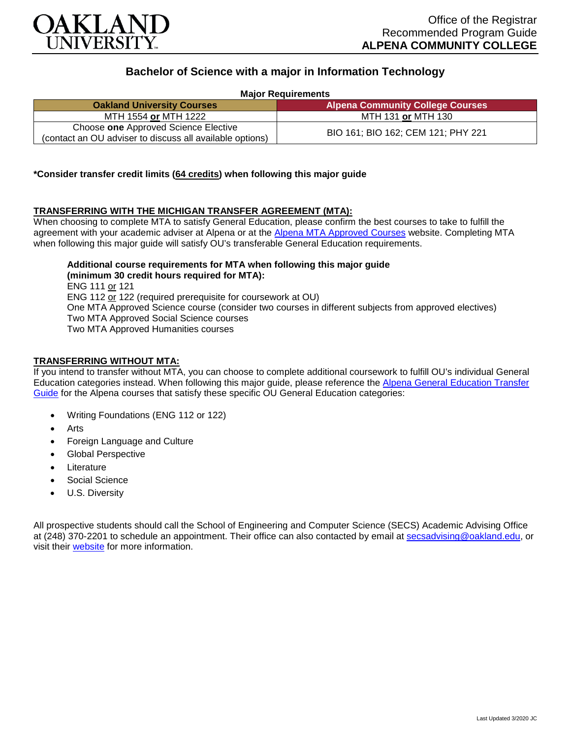

# **Bachelor of Science with a major in Information Technology**

**Major Requirements**

| <b>Oakland University Courses</b>                                                                | <b>Alpena Community College Courses</b> |
|--------------------------------------------------------------------------------------------------|-----------------------------------------|
| MTH 1554 or MTH 1222                                                                             | MTH 131 or MTH 130                      |
| Choose one Approved Science Elective<br>(contact an OU adviser to discuss all available options) | BIO 161; BIO 162; CEM 121; PHY 221      |

### **\*Consider transfer credit limits (64 credits) when following this major guide**

### **TRANSFERRING WITH THE MICHIGAN TRANSFER AGREEMENT (MTA):**

When choosing to complete MTA to satisfy General Education, please confirm the best courses to take to fulfill the agreement with your academic adviser at Alpena or at the [Alpena MTA Approved Courses](https://discover.alpenacc.edu/admissions/current_students/MTA.php) website. Completing MTA when following this major guide will satisfy OU's transferable General Education requirements.

**Additional course requirements for MTA when following this major guide (minimum 30 credit hours required for MTA):**

ENG 111 or 121 ENG 112 or 122 (required prerequisite for coursework at OU) One MTA Approved Science course (consider two courses in different subjects from approved electives) Two MTA Approved Social Science courses Two MTA Approved Humanities courses

### **TRANSFERRING WITHOUT MTA:**

If you intend to transfer without MTA, you can choose to complete additional coursework to fulfill OU's individual General Education categories instead. When following this major guide, please reference the [Alpena General Education Transfer](https://www.oakland.edu/Assets/Oakland/program-guides/alpena-community-college/university-general-education-requirements/Alpena%20Gen%20Ed.pdf)  [Guide](https://www.oakland.edu/Assets/Oakland/program-guides/alpena-community-college/university-general-education-requirements/Alpena%20Gen%20Ed.pdf) for the Alpena courses that satisfy these specific OU General Education categories:

- Writing Foundations (ENG 112 or 122)
- Arts
- Foreign Language and Culture
- Global Perspective
- **Literature**
- Social Science
- U.S. Diversity

All prospective students should call the School of Engineering and Computer Science (SECS) Academic Advising Office at (248) 370-2201 to schedule an appointment. Their office can also contacted by email at [secsadvising@oakland.edu,](mailto:secsadvising@oakland.edu) or visit their [website](https://wwwp.oakland.edu/secs/advising/) for more information.